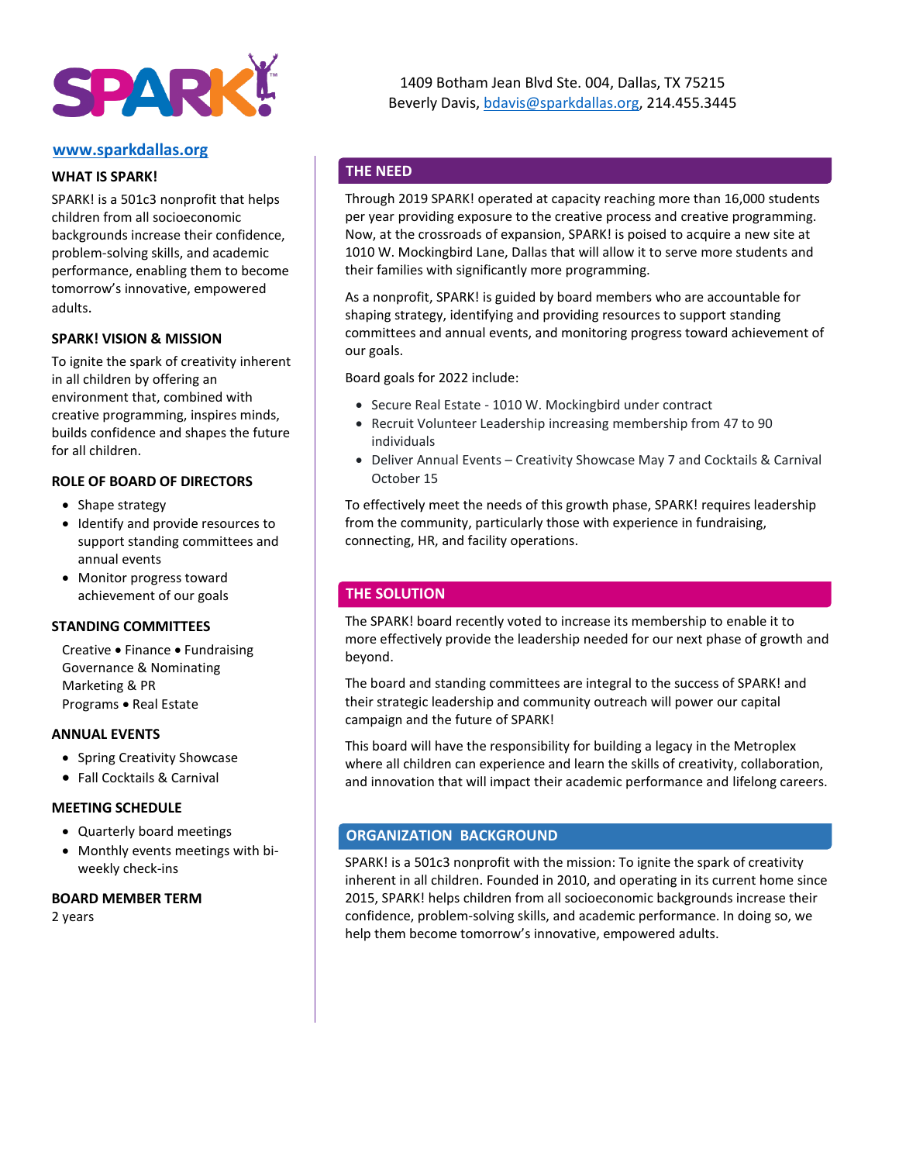

### **[www.sparkdallas.org](http://www.sparkdallas.org/)**

### **WHAT IS SPARK!**

SPARK! is a 501c3 nonprofit that helps children from all socioeconomic backgrounds increase their confidence, problem-solving skills, and academic performance, enabling them to become tomorrow's innovative, empowered adults.

## **SPARK! VISION & MISSION**

To ignite the spark of creativity inherent in all children by offering an environment that, combined with creative programming, inspires minds, builds confidence and shapes the future for all children.

### **ROLE OF BOARD OF DIRECTORS**

- Shape strategy
- Identify and provide resources to support standing committees and annual events
- Monitor progress toward achievement of our goals

#### **STANDING COMMITTEES**

Creative • Finance • Fundraising Governance & Nominating Marketing & PR Programs • Real Estate

### **ANNUAL EVENTS**

- Spring Creativity Showcase
- Fall Cocktails & Carnival

## **MEETING SCHEDULE**

- Quarterly board meetings
- Monthly events meetings with biweekly check-ins

#### **BOARD MEMBER TERM**

2 years

## **THE NEED**

Through 2019 SPARK! operated at capacity reaching more than 16,000 students per year providing exposure to the creative process and creative programming. Now, at the crossroads of expansion, SPARK! is poised to acquire a new site at 1010 W. Mockingbird Lane, Dallas that will allow it to serve more students and their families with significantly more programming.

As a nonprofit, SPARK! is guided by board members who are accountable for shaping strategy, identifying and providing resources to support standing committees and annual events, and monitoring progress toward achievement of our goals.

Board goals for 2022 include:

- Secure Real Estate 1010 W. Mockingbird under contract
- Recruit Volunteer Leadership increasing membership from 47 to 90 individuals
- Deliver Annual Events Creativity Showcase May 7 and Cocktails & Carnival October 15

To effectively meet the needs of this growth phase, SPARK! requires leadership from the community, particularly those with experience in fundraising, connecting, HR, and facility operations.

## **THE SOLUTION**

The SPARK! board recently voted to increase its membership to enable it to more effectively provide the leadership needed for our next phase of growth and beyond.

The board and standing committees are integral to the success of SPARK! and their strategic leadership and community outreach will power our capital campaign and the future of SPARK!

This board will have the responsibility for building a legacy in the Metroplex where all children can experience and learn the skills of creativity, collaboration, and innovation that will impact their academic performance and lifelong careers.

## **ORGANIZATION BACKGROUND**

SPARK! is a 501c3 nonprofit with the mission: To ignite the spark of creativity inherent in all children. Founded in 2010, and operating in its current home since 2015, SPARK! helps children from all socioeconomic backgrounds increase their confidence, problem-solving skills, and academic performance. In doing so, we help them become tomorrow's innovative, empowered adults.